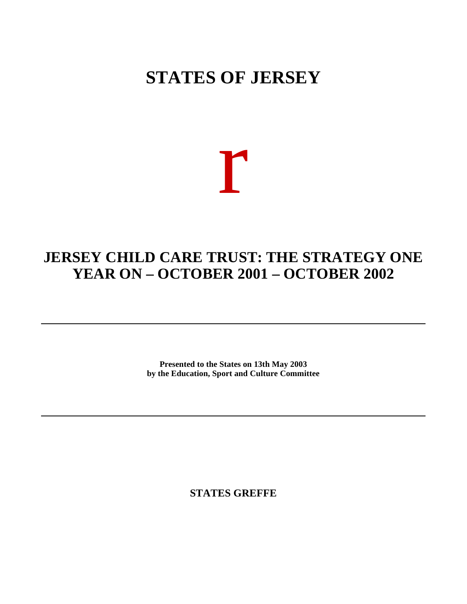## **STATES OF JERSEY**

# r

### **JERSEY CHILD CARE TRUST: THE STRATEGY ONE YEAR ON – OCTOBER 2001 – OCTOBER 2002**

**Presented to the States on 13th May 2003 by the Education, Sport and Culture Committee**

**STATES GREFFE**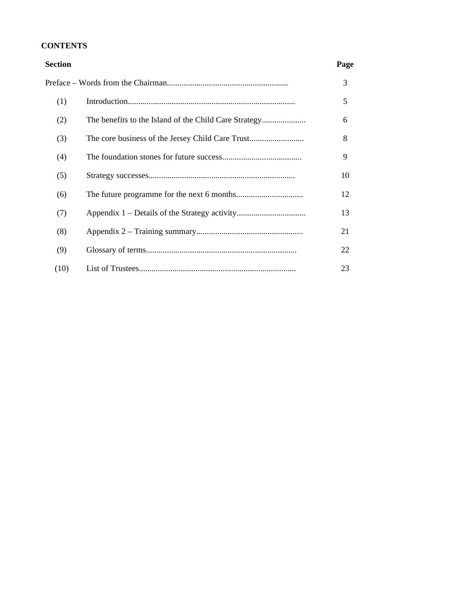#### **CONTENTS**

| Section | Page |
|---------|------|
|         | 3    |
| (1)     | 5    |
| (2)     | 6    |
| (3)     | 8    |
| (4)     | 9    |
| (5)     | 10   |
| (6)     | 12   |
| (7)     | 13   |
| (8)     | 21   |
| (9)     | 22   |
| (10)    | 23   |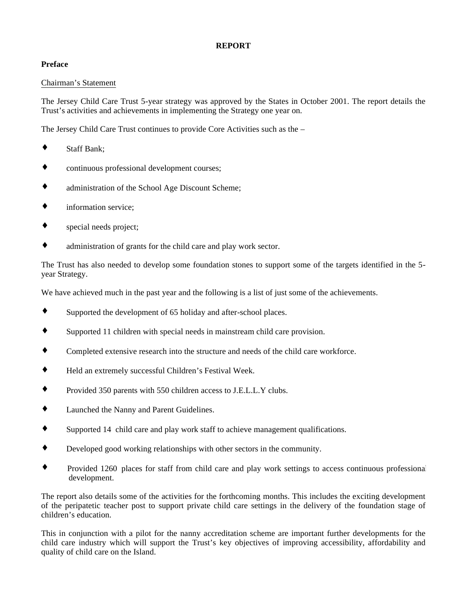#### **REPORT**

#### **Preface**

#### Chairman's Statement

The Jersey Child Care Trust 5-year strategy was approved by the States in October 2001. The report details the Trust's activities and achievements in implementing the Strategy one year on.

The Jersey Child Care Trust continues to provide Core Activities such as the –

- ♦ Staff Bank;
- continuous professional development courses;
- administration of the School Age Discount Scheme;
- ♦ information service;
- special needs project;
- ♦ administration of grants for the child care and play work sector.

The Trust has also needed to develop some foundation stones to support some of the targets identified in the 5 year Strategy.

We have achieved much in the past year and the following is a list of just some of the achievements.

- ♦ Supported the development of 65 holiday and after-school places.
- Supported 11 children with special needs in mainstream child care provision.
- ♦ Completed extensive research into the structure and needs of the child care workforce.
- ♦ Held an extremely successful Children's Festival Week.
- ♦ Provided 350 parents with 550 children access to J.E.L.L.Y clubs.
- ♦ Launched the Nanny and Parent Guidelines.
- ♦ Supported 14 child care and play work staff to achieve management qualifications.
- ♦ Developed good working relationships with other sectors in the community.
- Provided 1260 places for staff from child care and play work settings to access continuous professional development.

The report also details some of the activities for the forthcoming months. This includes the exciting development of the peripatetic teacher post to support private child care settings in the delivery of the foundation stage of children's education.

This in conjunction with a pilot for the nanny accreditation scheme are important further developments for the child care industry which will support the Trust's key objectives of improving accessibility, affordability and quality of child care on the Island.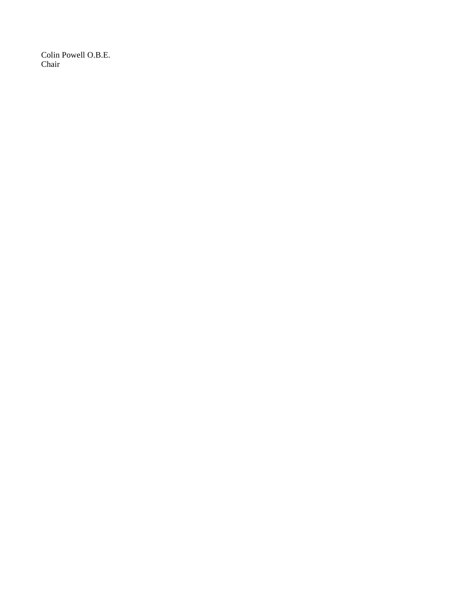Colin Powell O.B.E. Chair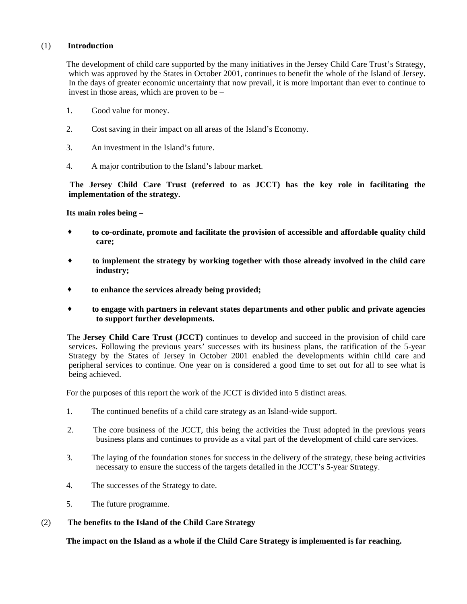#### (1) **Introduction**

 The development of child care supported by the many initiatives in the Jersey Child Care Trust's Strategy, which was approved by the States in October 2001, continues to benefit the whole of the Island of Jersey. In the days of greater economic uncertainty that now prevail, it is more important than ever to continue to invest in those areas, which are proven to be –

- 1. Good value for money.
- 2. Cost saving in their impact on all areas of the Island's Economy.
- 3. An investment in the Island's future.
- 4. A major contribution to the Island's labour market.

 **The Jersey Child Care Trust (referred to as JCCT) has the key role in facilitating the implementation of the strategy.**

#### **Its main roles being –**

- **to co-ordinate, promote and facilitate the provision of accessible and affordable quality child care;**
- **to implement the strategy by working together with those already involved in the child care industry;**
- **to enhance the services already being provided;**
- **to engage with partners in relevant states departments and other public and private agencies to support further developments.**

 The **Jersey Child Care Trust (JCCT)** continues to develop and succeed in the provision of child care services. Following the previous years' successes with its business plans, the ratification of the 5-year Strategy by the States of Jersey in October 2001 enabled the developments within child care and peripheral services to continue. One year on is considered a good time to set out for all to see what is being achieved.

For the purposes of this report the work of the JCCT is divided into 5 distinct areas.

- 1. The continued benefits of a child care strategy as an Island-wide support.
- 2. The core business of the JCCT, this being the activities the Trust adopted in the previous years business plans and continues to provide as a vital part of the development of child care services.
- 3. The laying of the foundation stones for success in the delivery of the strategy, these being activities necessary to ensure the success of the targets detailed in the JCCT's 5-year Strategy.
- 4. The successes of the Strategy to date.
- 5. The future programme.

#### (2) **The benefits to the Island of the Child Care Strategy**

 **The impact on the Island as a whole if the Child Care Strategy is implemented is far reaching.**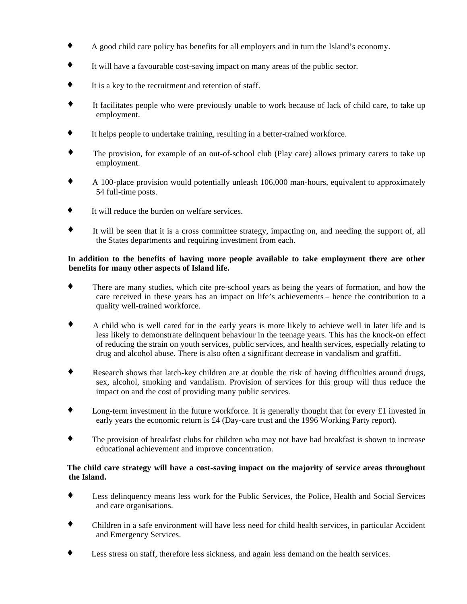- ♦ A good child care policy has benefits for all employers and in turn the Island's economy.
- ♦ It will have a favourable cost-saving impact on many areas of the public sector.
- ♦ It is a key to the recruitment and retention of staff.
- ♦ It facilitates people who were previously unable to work because of lack of child care, to take up employment.
- ♦ It helps people to undertake training, resulting in a better-trained workforce.
- ♦ The provision, for example of an out-of-school club (Play care) allows primary carers to take up employment.
- ♦ A 100-place provision would potentially unleash 106,000 man-hours, equivalent to approximately 54 full-time posts.
- ♦ It will reduce the burden on welfare services.
- ♦ It will be seen that it is a cross committee strategy, impacting on, and needing the support of, all the States departments and requiring investment from each.

#### **In addition to the benefits of having more people available to take employment there are other benefits for many other aspects of Island life.**

- ♦ There are many studies, which cite pre-school years as being the years of formation, and how the care received in these years has an impact on life's achievements – hence the contribution to a quality well-trained workforce.
- A child who is well cared for in the early years is more likely to achieve well in later life and is less likely to demonstrate delinquent behaviour in the teenage years. This has the knock-on effect of reducing the strain on youth services, public services, and health services, especially relating to drug and alcohol abuse. There is also often a significant decrease in vandalism and graffiti.
- Research shows that latch-key children are at double the risk of having difficulties around drugs, sex, alcohol, smoking and vandalism. Provision of services for this group will thus reduce the impact on and the cost of providing many public services.
- ♦ Long-term investment in the future workforce. It is generally thought that for every £1 invested in early years the economic return is £4 (Day-care trust and the 1996 Working Party report).
- ♦ The provision of breakfast clubs for children who may not have had breakfast is shown to increase educational achievement and improve concentration.

#### **The child care strategy will have a cost-saving impact on the majority of service areas throughout the Island.**

- ♦ Less delinquency means less work for the Public Services, the Police, Health and Social Services and care organisations.
- Children in a safe environment will have less need for child health services, in particular Accident and Emergency Services.
- ♦ Less stress on staff, therefore less sickness, and again less demand on the health services.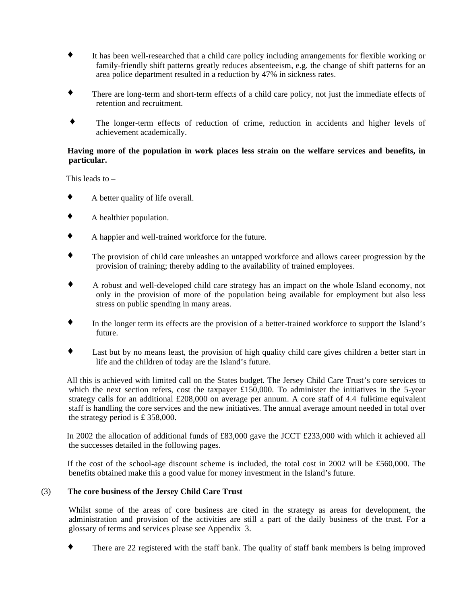- ♦ It has been well-researched that a child care policy including arrangements for flexible working or family-friendly shift patterns greatly reduces absenteeism, e.g. the change of shift patterns for an area police department resulted in a reduction by 47% in sickness rates.
- There are long-term and short-term effects of a child care policy, not just the immediate effects of retention and recruitment.
- ♦ The longer-term effects of reduction of crime, reduction in accidents and higher levels of achievement academically.

#### **Having more of the population in work places less strain on the welfare services and benefits, in particular.**

This leads to –

- ♦ A better quality of life overall.
- ♦ A healthier population.
- ♦ A happier and well-trained workforce for the future.
- The provision of child care unleashes an untapped workforce and allows career progression by the provision of training; thereby adding to the availability of trained employees.
- ♦ A robust and well-developed child care strategy has an impact on the whole Island economy, not only in the provision of more of the population being available for employment but also less stress on public spending in many areas.
- ♦ In the longer term its effects are the provision of a better-trained workforce to support the Island's future.
- ♦ Last but by no means least, the provision of high quality child care gives children a better start in life and the children of today are the Island's future.

 All this is achieved with limited call on the States budget. The Jersey Child Care Trust's core services to which the next section refers, cost the taxpayer £150,000. To administer the initiatives in the 5-year strategy calls for an additional  $£208,000$  on average per annum. A core staff of 4.4 full-time equivalent staff is handling the core services and the new initiatives. The annual average amount needed in total over the strategy period is £ 358,000.

 In 2002 the allocation of additional funds of £83,000 gave the JCCT £233,000 with which it achieved all the successes detailed in the following pages.

 If the cost of the school-age discount scheme is included, the total cost in 2002 will be £560,000. The benefits obtained make this a good value for money investment in the Island's future.

#### (3) **The core business of the Jersey Child Care Trust**

 Whilst some of the areas of core business are cited in the strategy as areas for development, the administration and provision of the activities are still a part of the daily business of the trust. For a glossary of terms and services please see Appendix 3.

There are 22 registered with the staff bank. The quality of staff bank members is being improved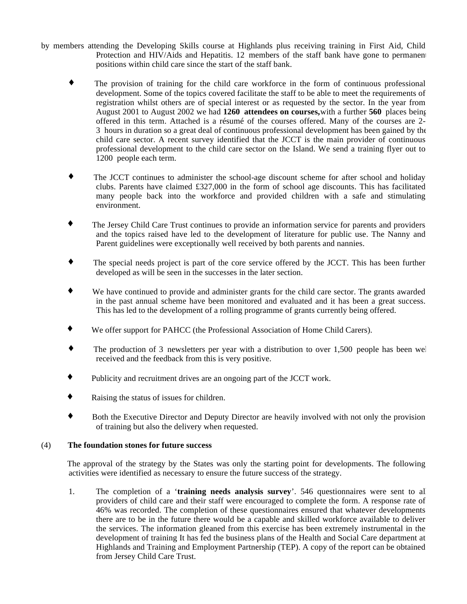- by members attending the Developing Skills course at Highlands plus receiving training in First Aid, Child Protection and HIV/Aids and Hepatitis. 12 members of the staff bank have gone to permanent positions within child care since the start of the staff bank.
	- The provision of training for the child care workforce in the form of continuous professional development. Some of the topics covered facilitate the staff to be able to meet the requirements of registration whilst others are of special interest or as requested by the sector. In the year from August 2001 to August 2002 we had **1260 attendees on courses,** with a further **560** places being offered in this term. Attached is a résumé of the courses offered. Many of the courses are 2- 3 hours in duration so a great deal of continuous professional development has been gained by the child care sector. A recent survey identified that the JCCT is the main provider of continuous professional development to the child care sector on the Island. We send a training flyer out to 1200 people each term.
	- ♦ The JCCT continues to administer the school-age discount scheme for after school and holiday clubs. Parents have claimed £327,000 in the form of school age discounts. This has facilitated many people back into the workforce and provided children with a safe and stimulating environment.
	- ♦ The Jersey Child Care Trust continues to provide an information service for parents and providers and the topics raised have led to the development of literature for public use. The Nanny and Parent guidelines were exceptionally well received by both parents and nannies.
	- ♦ The special needs project is part of the core service offered by the JCCT. This has been further developed as will be seen in the successes in the later section.
	- We have continued to provide and administer grants for the child care sector. The grants awarded in the past annual scheme have been monitored and evaluated and it has been a great success. This has led to the development of a rolling programme of grants currently being offered.
	- ♦ We offer support for PAHCC (the Professional Association of Home Child Carers).
	- ♦ The production of 3 newsletters per year with a distribution to over 1,500 people has been well received and the feedback from this is very positive.
	- ♦ Publicity and recruitment drives are an ongoing part of the JCCT work.
	- ♦ Raising the status of issues for children.
	- ♦ Both the Executive Director and Deputy Director are heavily involved with not only the provision of training but also the delivery when requested.

#### (4) **The foundation stones for future success**

 The approval of the strategy by the States was only the starting point for developments. The following activities were identified as necessary to ensure the future success of the strategy.

 1. The completion of a '**training needs analysis survey**'. 546 questionnaires were sent to all providers of child care and their staff were encouraged to complete the form. A response rate of 46% was recorded. The completion of these questionnaires ensured that whatever developments there are to be in the future there would be a capable and skilled workforce available to deliver the services. The information gleaned from this exercise has been extremely instrumental in the development of training It has fed the business plans of the Health and Social Care department at Highlands and Training and Employment Partnership (TEP). A copy of the report can be obtained from Jersey Child Care Trust.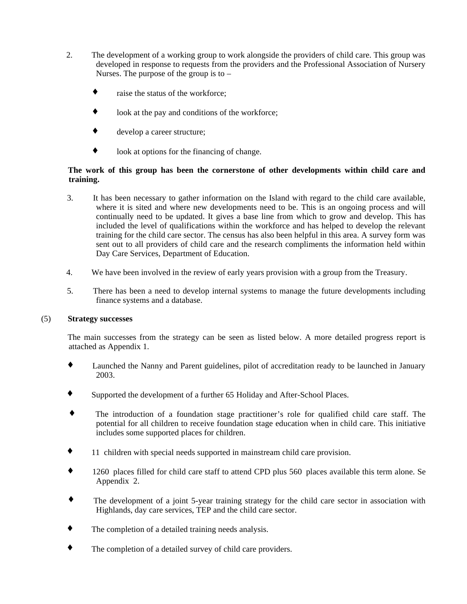- 2. The development of a working group to work alongside the providers of child care. This group was developed in response to requests from the providers and the Professional Association of Nursery Nurses. The purpose of the group is to  $$ 
	- raise the status of the workforce;
	- $\bullet$  look at the pay and conditions of the workforce;
	- ♦ develop a career structure;
	- ♦ look at options for the financing of change.

#### **The work of this group has been the cornerstone of other developments within child care and training.**

- 3. It has been necessary to gather information on the Island with regard to the child care available, where it is sited and where new developments need to be. This is an ongoing process and will continually need to be updated. It gives a base line from which to grow and develop. This has included the level of qualifications within the workforce and has helped to develop the relevant training for the child care sector. The census has also been helpful in this area. A survey form was sent out to all providers of child care and the research compliments the information held within Day Care Services, Department of Education.
- 4. We have been involved in the review of early years provision with a group from the Treasury.
- 5. There has been a need to develop internal systems to manage the future developments including finance systems and a database.

#### (5) **Strategy successes**

 The main successes from the strategy can be seen as listed below. A more detailed progress report is attached as Appendix 1.

- ♦ Launched the Nanny and Parent guidelines, pilot of accreditation ready to be launched in January 2003.
- ♦ Supported the development of a further 65 Holiday and After-School Places.
- The introduction of a foundation stage practitioner's role for qualified child care staff. The potential for all children to receive foundation stage education when in child care. This initiative includes some supported places for children.
- ♦ 11 children with special needs supported in mainstream child care provision.
- 1260 places filled for child care staff to attend CPD plus 560 places available this term alone. Se Appendix 2.
- ♦ The development of a joint 5-year training strategy for the child care sector in association with Highlands, day care services, TEP and the child care sector.
- ♦ The completion of a detailed training needs analysis.
- The completion of a detailed survey of child care providers.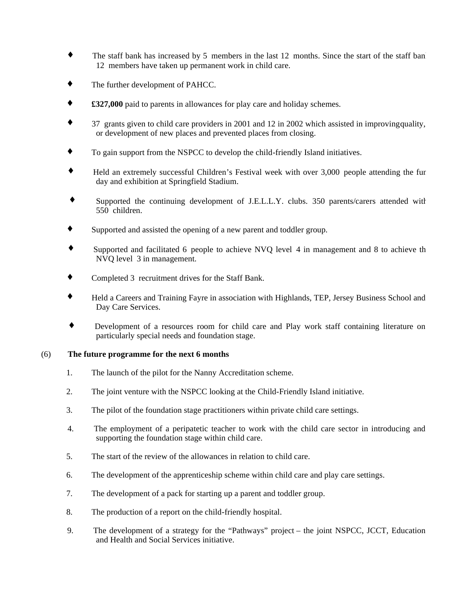- ♦ The staff bank has increased by 5 members in the last 12 months. Since the start of the staff bank 12 members have taken up permanent work in child care.
- ♦ The further development of PAHCC.
- ♦ **£327,000** paid to parents in allowances for play care and holiday schemes.
- $37$  grants given to child care providers in 2001 and 12 in 2002 which assisted in improving quality, or development of new places and prevented places from closing.
- ♦ To gain support from the NSPCC to develop the child-friendly Island initiatives.
- Held an extremely successful Children's Festival week with over 3,000 people attending the fur day and exhibition at Springfield Stadium.
- ♦ Supported the continuing development of J.E.L.L.Y. clubs. 350 parents/carers attended with 550 children.
- ♦ Supported and assisted the opening of a new parent and toddler group.
- Supported and facilitated 6 people to achieve NVQ level 4 in management and 8 to achieve the NVQ level 3 in management.
- ♦ Completed 3 recruitment drives for the Staff Bank.
- Held a Careers and Training Fayre in association with Highlands, TEP, Jersey Business School and Day Care Services.
- ♦ Development of a resources room for child care and Play work staff containing literature on particularly special needs and foundation stage.

#### (6) **The future programme for the next 6 months**

- 1. The launch of the pilot for the Nanny Accreditation scheme.
- 2. The joint venture with the NSPCC looking at the Child-Friendly Island initiative.
- 3. The pilot of the foundation stage practitioners within private child care settings.
- 4. The employment of a peripatetic teacher to work with the child care sector in introducing and supporting the foundation stage within child care.
- 5. The start of the review of the allowances in relation to child care.
- 6. The development of the apprenticeship scheme within child care and play care settings.
- 7. The development of a pack for starting up a parent and toddler group.
- 8. The production of a report on the child-friendly hospital.
- 9. The development of a strategy for the "Pathways" project the joint NSPCC, JCCT, Education and Health and Social Services initiative.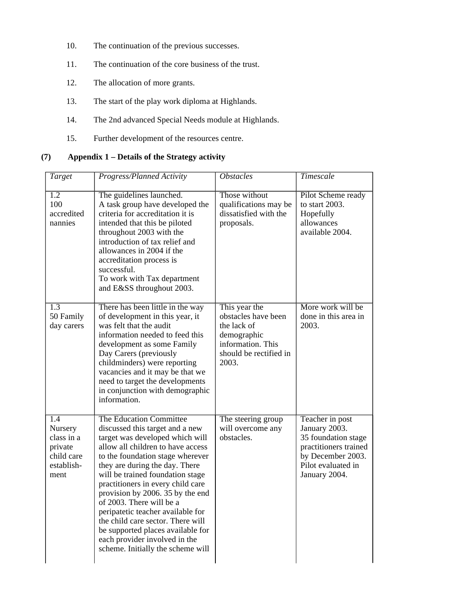- 10. The continuation of the previous successes.
- 11. The continuation of the core business of the trust.
- 12. The allocation of more grants.
- 13. The start of the play work diploma at Highlands.
- 14. The 2nd advanced Special Needs module at Highlands.
- 15. Further development of the resources centre.

#### **(7) Appendix 1 – Details of the Strategy activity**

| <b>Target</b>                                                               | Progress/Planned Activity                                                                                                                                                                                                                                                                                                                                                                                                                                                                                                              | <i><b>Obstacles</b></i>                                                                                                    | Timescale                                                                                                                                    |
|-----------------------------------------------------------------------------|----------------------------------------------------------------------------------------------------------------------------------------------------------------------------------------------------------------------------------------------------------------------------------------------------------------------------------------------------------------------------------------------------------------------------------------------------------------------------------------------------------------------------------------|----------------------------------------------------------------------------------------------------------------------------|----------------------------------------------------------------------------------------------------------------------------------------------|
| $\overline{1.2}$<br>100<br>accredited<br>nannies                            | The guidelines launched.<br>A task group have developed the<br>criteria for accreditation it is<br>intended that this be piloted<br>throughout 2003 with the<br>introduction of tax relief and<br>allowances in 2004 if the<br>accreditation process is<br>successful.<br>To work with Tax department<br>and E&SS throughout 2003.                                                                                                                                                                                                     | Those without<br>qualifications may be<br>dissatisfied with the<br>proposals.                                              | Pilot Scheme ready<br>to start 2003.<br>Hopefully<br>allowances<br>available 2004.                                                           |
| 1.3<br>50 Family<br>day carers                                              | There has been little in the way<br>of development in this year, it<br>was felt that the audit<br>information needed to feed this<br>development as some Family<br>Day Carers (previously<br>childminders) were reporting<br>vacancies and it may be that we<br>need to target the developments<br>in conjunction with demographic<br>information.                                                                                                                                                                                     | This year the<br>obstacles have been<br>the lack of<br>demographic<br>information. This<br>should be rectified in<br>2003. | More work will be<br>done in this area in<br>2003.                                                                                           |
| 1.4<br>Nursery<br>class in a<br>private<br>child care<br>establish-<br>ment | The Education Committee<br>discussed this target and a new<br>target was developed which will<br>allow all children to have access<br>to the foundation stage wherever<br>they are during the day. There<br>will be trained foundation stage<br>practitioners in every child care<br>provision by 2006. 35 by the end<br>of 2003. There will be a<br>peripatetic teacher available for<br>the child care sector. There will<br>be supported places available for<br>each provider involved in the<br>scheme. Initially the scheme will | The steering group<br>will overcome any<br>obstacles.                                                                      | Teacher in post<br>January 2003.<br>35 foundation stage<br>practitioners trained<br>by December 2003.<br>Pilot evaluated in<br>January 2004. |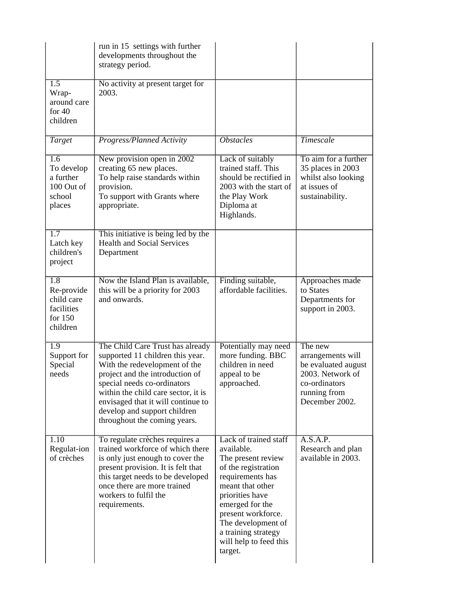|                                                                                   | run in 15 settings with further<br>developments throughout the<br>strategy period.                                                                                                                                                                                                                                   |                                                                                                                                                                                                                                                                        |                                                                                                                            |
|-----------------------------------------------------------------------------------|----------------------------------------------------------------------------------------------------------------------------------------------------------------------------------------------------------------------------------------------------------------------------------------------------------------------|------------------------------------------------------------------------------------------------------------------------------------------------------------------------------------------------------------------------------------------------------------------------|----------------------------------------------------------------------------------------------------------------------------|
| $\overline{1.5}$<br>Wrap-<br>around care<br>for $40$<br>children                  | No activity at present target for<br>2003.                                                                                                                                                                                                                                                                           |                                                                                                                                                                                                                                                                        |                                                                                                                            |
| Target                                                                            | Progress/Planned Activity                                                                                                                                                                                                                                                                                            | <i><b>Obstacles</b></i>                                                                                                                                                                                                                                                | Timescale                                                                                                                  |
| $\overline{1.6}$<br>To develop<br>a further<br>100 Out of<br>school<br>places     | New provision open in 2002<br>creating 65 new places.<br>To help raise standards within<br>provision.<br>To support with Grants where<br>appropriate.                                                                                                                                                                | Lack of suitably<br>trained staff. This<br>should be rectified in<br>2003 with the start of<br>the Play Work<br>Diploma at<br>Highlands.                                                                                                                               | To aim for a further<br>35 places in 2003<br>whilst also looking<br>at issues of<br>sustainability.                        |
| $\overline{1.7}$<br>Latch key<br>children's<br>project                            | This initiative is being led by the<br><b>Health and Social Services</b><br>Department                                                                                                                                                                                                                               |                                                                                                                                                                                                                                                                        |                                                                                                                            |
| $\overline{1.8}$<br>Re-provide<br>child care<br>facilities<br>for 150<br>children | Now the Island Plan is available,<br>this will be a priority for 2003<br>and onwards.                                                                                                                                                                                                                                | Finding suitable,<br>affordable facilities.                                                                                                                                                                                                                            | Approaches made<br>to States<br>Departments for<br>support in 2003.                                                        |
| $\overline{1.9}$<br>Support for<br>Special<br>needs                               | The Child Care Trust has already<br>supported 11 children this year.<br>With the redevelopment of the<br>project and the introduction of<br>special needs co-ordinators<br>within the child care sector, it is<br>envisaged that it will continue to<br>develop and support children<br>throughout the coming years. | Potentially may need<br>more funding. BBC<br>children in need<br>appeal to be<br>approached.                                                                                                                                                                           | The new<br>arrangements will<br>be evaluated august<br>2003. Network of<br>co-ordinators<br>running from<br>December 2002. |
| 1.10<br>Regulat-ion<br>of crèches                                                 | To regulate crèches requires a<br>trained workforce of which there<br>is only just enough to cover the<br>present provision. It is felt that<br>this target needs to be developed<br>once there are more trained<br>workers to fulfil the<br>requirements.                                                           | Lack of trained staff<br>available.<br>The present review<br>of the registration<br>requirements has<br>meant that other<br>priorities have<br>emerged for the<br>present workforce.<br>The development of<br>a training strategy<br>will help to feed this<br>target. | A.S.A.P.<br>Research and plan<br>available in 2003.                                                                        |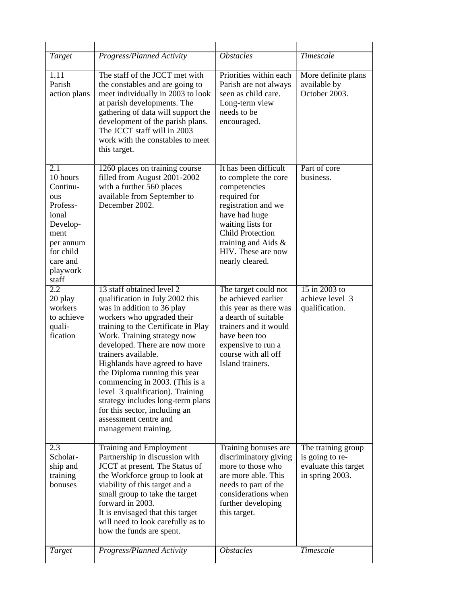| Target                                                                                                                                              | Progress/Planned Activity                                                                                                                                                                                                                                                                                                                                                                                                                                                                                             | <b>Obstacles</b>                                                                                                                                                                                                                      | <b>Timescale</b>                                                                 |
|-----------------------------------------------------------------------------------------------------------------------------------------------------|-----------------------------------------------------------------------------------------------------------------------------------------------------------------------------------------------------------------------------------------------------------------------------------------------------------------------------------------------------------------------------------------------------------------------------------------------------------------------------------------------------------------------|---------------------------------------------------------------------------------------------------------------------------------------------------------------------------------------------------------------------------------------|----------------------------------------------------------------------------------|
| 1.11<br>Parish<br>action plans                                                                                                                      | The staff of the JCCT met with<br>the constables and are going to<br>meet individually in 2003 to look<br>at parish developments. The<br>gathering of data will support the<br>development of the parish plans.<br>The JCCT staff will in 2003<br>work with the constables to meet<br>this target.                                                                                                                                                                                                                    | Priorities within each<br>Parish are not always<br>seen as child care.<br>Long-term view<br>needs to be<br>encouraged.                                                                                                                | More definite plans<br>available by<br>October 2003.                             |
| $\overline{2.1}$<br>10 hours<br>Continu-<br>ous<br>Profess-<br>ional<br>Develop-<br>ment<br>per annum<br>for child<br>care and<br>playwork<br>staff | 1260 places on training course<br>filled from August 2001-2002<br>with a further 560 places<br>available from September to<br>December 2002.                                                                                                                                                                                                                                                                                                                                                                          | It has been difficult<br>to complete the core<br>competencies<br>required for<br>registration and we<br>have had huge<br>waiting lists for<br><b>Child Protection</b><br>training and Aids &<br>HIV. These are now<br>nearly cleared. | Part of core<br>business.                                                        |
| 2.2<br>20 play<br>workers<br>to achieve<br>quali-<br>fication                                                                                       | 13 staff obtained level 2<br>qualification in July 2002 this<br>was in addition to 36 play<br>workers who upgraded their<br>training to the Certificate in Play<br>Work. Training strategy now<br>developed. There are now more<br>trainers available.<br>Highlands have agreed to have<br>the Diploma running this year<br>commencing in 2003. (This is a<br>level 3 qualification). Training<br>strategy includes long-term plans<br>for this sector, including an<br>assessment centre and<br>management training. | The target could not<br>be achieved earlier<br>this year as there was<br>a dearth of suitable<br>trainers and it would<br>have been too<br>expensive to run a<br>course with all off<br>Island trainers.                              | 15 in 2003 to<br>achieve level 3<br>qualification.                               |
| $\overline{2.3}$<br>Scholar-<br>ship and<br>training<br>bonuses                                                                                     | <b>Training and Employment</b><br>Partnership in discussion with<br>JCCT at present. The Status of<br>the Workforce group to look at<br>viability of this target and a<br>small group to take the target<br>forward in 2003.<br>It is envisaged that this target<br>will need to look carefully as to<br>how the funds are spent.                                                                                                                                                                                     | Training bonuses are<br>discriminatory giving<br>more to those who<br>are more able. This<br>needs to part of the<br>considerations when<br>further developing<br>this target.                                                        | The training group<br>is going to re-<br>evaluate this target<br>in spring 2003. |
| <b>Target</b>                                                                                                                                       | Progress/Planned Activity                                                                                                                                                                                                                                                                                                                                                                                                                                                                                             | <b>Obstacles</b>                                                                                                                                                                                                                      | Timescale                                                                        |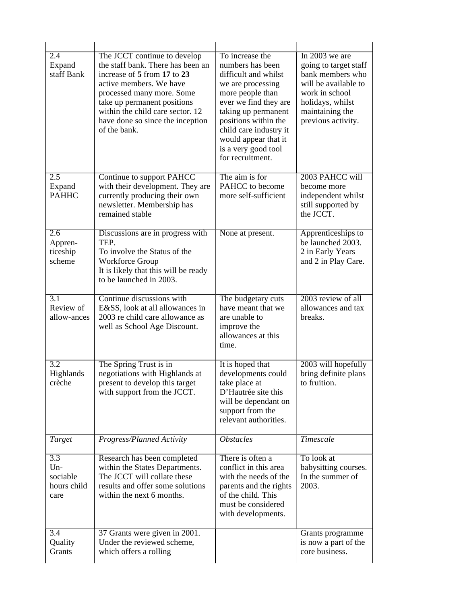| 2.4<br>Expand<br>staff Bank                                  | The JCCT continue to develop<br>the staff bank. There has been an<br>increase of 5 from 17 to 23<br>active members. We have<br>processed many more. Some<br>take up permanent positions<br>within the child care sector. 12<br>have done so since the inception<br>of the bank. | To increase the<br>numbers has been<br>difficult and whilst<br>we are processing<br>more people than<br>ever we find they are<br>taking up permanent<br>positions within the<br>child care industry it<br>would appear that it<br>is a very good tool<br>for recruitment. | In $2003$ we are<br>going to target staff<br>bank members who<br>will be available to<br>work in school<br>holidays, whilst<br>maintaining the<br>previous activity. |
|--------------------------------------------------------------|---------------------------------------------------------------------------------------------------------------------------------------------------------------------------------------------------------------------------------------------------------------------------------|---------------------------------------------------------------------------------------------------------------------------------------------------------------------------------------------------------------------------------------------------------------------------|----------------------------------------------------------------------------------------------------------------------------------------------------------------------|
| $\overline{2.5}$<br>Expand<br><b>PAHHC</b>                   | Continue to support PAHCC<br>with their development. They are<br>currently producing their own<br>newsletter. Membership has<br>remained stable                                                                                                                                 | The aim is for<br>PAHCC to become<br>more self-sufficient                                                                                                                                                                                                                 | 2003 PAHCC will<br>become more<br>independent whilst<br>still supported by<br>the JCCT.                                                                              |
| $\overline{2.6}$<br>Appren-<br>ticeship<br>scheme            | Discussions are in progress with<br>TEP.<br>To involve the Status of the<br>Workforce Group<br>It is likely that this will be ready<br>to be launched in 2003.                                                                                                                  | None at present.                                                                                                                                                                                                                                                          | Apprenticeships to<br>be launched 2003.<br>2 in Early Years<br>and 2 in Play Care.                                                                                   |
| $\overline{3.1}$<br>Review of<br>allow-ances                 | Continue discussions with<br>E&SS, look at all allowances in<br>2003 re child care allowance as<br>well as School Age Discount.                                                                                                                                                 | The budgetary cuts<br>have meant that we<br>are unable to<br>improve the<br>allowances at this<br>time.                                                                                                                                                                   | 2003 review of all<br>allowances and tax<br>breaks.                                                                                                                  |
| $\overline{3.2}$<br>Highlands<br>crèche                      | The Spring Trust is in<br>negotiations with Highlands at<br>present to develop this target<br>with support from the JCCT.                                                                                                                                                       | It is hoped that<br>developments could<br>take place at<br>D'Hautrée site this<br>will be dependant on<br>support from the<br>relevant authorities.                                                                                                                       | 2003 will hopefully<br>bring definite plans<br>to fruition.                                                                                                          |
| <i>Target</i>                                                | Progress/Planned Activity                                                                                                                                                                                                                                                       | <b>Obstacles</b>                                                                                                                                                                                                                                                          | <b>Timescale</b>                                                                                                                                                     |
| $\overline{3.3}$<br>$Un-$<br>sociable<br>hours child<br>care | Research has been completed<br>within the States Departments.<br>The JCCT will collate these<br>results and offer some solutions<br>within the next 6 months.                                                                                                                   | There is often a<br>conflict in this area<br>with the needs of the<br>parents and the rights<br>of the child. This<br>must be considered<br>with developments.                                                                                                            | To look at<br>babysitting courses.<br>In the summer of<br>2003.                                                                                                      |
| 3.4<br>Quality<br>Grants                                     | 37 Grants were given in 2001.<br>Under the reviewed scheme,<br>which offers a rolling                                                                                                                                                                                           |                                                                                                                                                                                                                                                                           | Grants programme<br>is now a part of the<br>core business.                                                                                                           |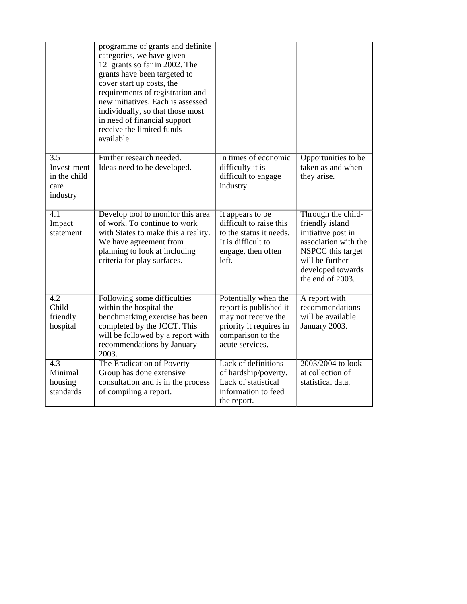|                                                                     | programme of grants and definite<br>categories, we have given<br>12 grants so far in 2002. The<br>grants have been targeted to<br>cover start up costs, the<br>requirements of registration and<br>new initiatives. Each is assessed<br>individually, so that those most<br>in need of financial support<br>receive the limited funds<br>available. |                                                                                                                                          |                                                                                                                                                                      |
|---------------------------------------------------------------------|-----------------------------------------------------------------------------------------------------------------------------------------------------------------------------------------------------------------------------------------------------------------------------------------------------------------------------------------------------|------------------------------------------------------------------------------------------------------------------------------------------|----------------------------------------------------------------------------------------------------------------------------------------------------------------------|
| $\overline{3.5}$<br>Invest-ment<br>in the child<br>care<br>industry | Further research needed.<br>Ideas need to be developed.                                                                                                                                                                                                                                                                                             | In times of economic<br>difficulty it is<br>difficult to engage<br>industry.                                                             | Opportunities to be<br>taken as and when<br>they arise.                                                                                                              |
| $\overline{4.1}$<br>Impact<br>statement                             | Develop tool to monitor this area<br>of work. To continue to work<br>with States to make this a reality.<br>We have agreement from<br>planning to look at including<br>criteria for play surfaces.                                                                                                                                                  | It appears to be<br>difficult to raise this<br>to the status it needs.<br>It is difficult to<br>engage, then often<br>left.              | Through the child-<br>friendly island<br>initiative post in<br>association with the<br>NSPCC this target<br>will be further<br>developed towards<br>the end of 2003. |
| $\overline{4.2}$<br>Child-<br>friendly<br>hospital                  | Following some difficulties<br>within the hospital the<br>benchmarking exercise has been<br>completed by the JCCT. This<br>will be followed by a report with<br>recommendations by January<br>2003.                                                                                                                                                 | Potentially when the<br>report is published it<br>may not receive the<br>priority it requires in<br>comparison to the<br>acute services. | A report with<br>recommendations<br>will be available<br>January 2003.                                                                                               |
| $\overline{4.3}$<br>Minimal<br>housing<br>standards                 | The Eradication of Poverty<br>Group has done extensive<br>consultation and is in the process<br>of compiling a report.                                                                                                                                                                                                                              | Lack of definitions<br>of hardship/poverty.<br>Lack of statistical<br>information to feed<br>the report.                                 | 2003/2004 to look<br>at collection of<br>statistical data.                                                                                                           |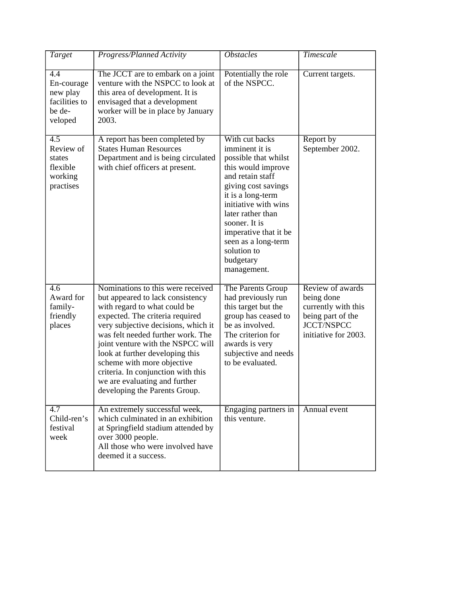| Target                                                                      | Progress/Planned Activity                                                                                                                                                                                                                                                                                                                                                                                                          | <b>Obstacles</b>                                                                                                                                                                                                                                                                                        | <b>Timescale</b>                                                                                                        |
|-----------------------------------------------------------------------------|------------------------------------------------------------------------------------------------------------------------------------------------------------------------------------------------------------------------------------------------------------------------------------------------------------------------------------------------------------------------------------------------------------------------------------|---------------------------------------------------------------------------------------------------------------------------------------------------------------------------------------------------------------------------------------------------------------------------------------------------------|-------------------------------------------------------------------------------------------------------------------------|
| 4.4<br>En-courage<br>new play<br>facilities to<br>be de-<br>veloped         | The JCCT are to embark on a joint<br>venture with the NSPCC to look at<br>this area of development. It is<br>envisaged that a development<br>worker will be in place by January<br>2003.                                                                                                                                                                                                                                           | Potentially the role<br>of the NSPCC.                                                                                                                                                                                                                                                                   | Current targets.                                                                                                        |
| $\overline{4.5}$<br>Review of<br>states<br>flexible<br>working<br>practises | A report has been completed by<br><b>States Human Resources</b><br>Department and is being circulated<br>with chief officers at present.                                                                                                                                                                                                                                                                                           | With cut backs<br>imminent it is<br>possible that whilst<br>this would improve<br>and retain staff<br>giving cost savings<br>it is a long-term<br>initiative with wins<br>later rather than<br>sooner. It is<br>imperative that it be<br>seen as a long-term<br>solution to<br>budgetary<br>management. | Report by<br>September 2002.                                                                                            |
| 4.6<br>Award for<br>family-<br>friendly<br>places                           | Nominations to this were received<br>but appeared to lack consistency<br>with regard to what could be<br>expected. The criteria required<br>very subjective decisions, which it<br>was felt needed further work. The<br>joint venture with the NSPCC will<br>look at further developing this<br>scheme with more objective<br>criteria. In conjunction with this<br>we are evaluating and further<br>developing the Parents Group. | The Parents Group<br>had previously run<br>this target but the<br>group has ceased to<br>be as involved.<br>The criterion for<br>awards is very<br>subjective and needs<br>to be evaluated.                                                                                                             | Review of awards<br>being done<br>currently with this<br>being part of the<br><b>JCCT/NSPCC</b><br>initiative for 2003. |
| 4.7<br>Child-ren's<br>festival<br>week                                      | An extremely successful week,<br>which culminated in an exhibition<br>at Springfield stadium attended by<br>over 3000 people.<br>All those who were involved have<br>deemed it a success.                                                                                                                                                                                                                                          | Engaging partners in<br>this venture.                                                                                                                                                                                                                                                                   | Annual event                                                                                                            |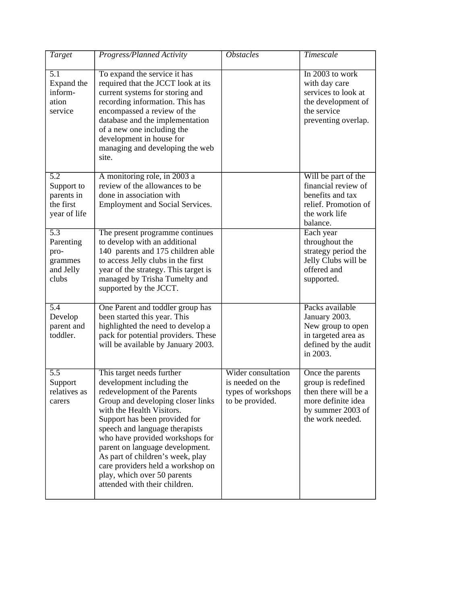| Target                                                                    | <b>Progress/Planned Activity</b>                                                                                                                                                                                                                                                                                                                                                                                                           | <b>Obstacles</b>                                                                | <b>Timescale</b>                                                                                                              |
|---------------------------------------------------------------------------|--------------------------------------------------------------------------------------------------------------------------------------------------------------------------------------------------------------------------------------------------------------------------------------------------------------------------------------------------------------------------------------------------------------------------------------------|---------------------------------------------------------------------------------|-------------------------------------------------------------------------------------------------------------------------------|
| 5.1<br>Expand the<br>inform-<br>ation<br>service                          | To expand the service it has<br>required that the JCCT look at its<br>current systems for storing and<br>recording information. This has<br>encompassed a review of the<br>database and the implementation<br>of a new one including the<br>development in house for<br>managing and developing the web<br>site.                                                                                                                           |                                                                                 | In 2003 to work<br>with day care<br>services to look at<br>the development of<br>the service<br>preventing overlap.           |
| $\overline{5.2}$<br>Support to<br>parents in<br>the first<br>year of life | A monitoring role, in 2003 a<br>review of the allowances to be<br>done in association with<br><b>Employment and Social Services.</b>                                                                                                                                                                                                                                                                                                       |                                                                                 | Will be part of the<br>financial review of<br>benefits and tax<br>relief. Promotion of<br>the work life<br>balance.           |
| 5.3<br>Parenting<br>pro-<br>grammes<br>and Jelly<br>clubs                 | The present programme continues<br>to develop with an additional<br>140 parents and 175 children able<br>to access Jelly clubs in the first<br>year of the strategy. This target is<br>managed by Trisha Tumelty and<br>supported by the JCCT.                                                                                                                                                                                             |                                                                                 | Each year<br>throughout the<br>strategy period the<br>Jelly Clubs will be<br>offered and<br>supported.                        |
| $\overline{5.4}$<br>Develop<br>parent and<br>toddler.                     | One Parent and toddler group has<br>been started this year. This<br>highlighted the need to develop a<br>pack for potential providers. These<br>will be available by January 2003.                                                                                                                                                                                                                                                         |                                                                                 | Packs available<br>January 2003.<br>New group to open<br>in targeted area as<br>defined by the audit<br>in 2003.              |
| $\overline{5.5}$<br>Support<br>relatives as<br>carers                     | This target needs further<br>development including the<br>redevelopment of the Parents<br>Group and developing closer links<br>with the Health Visitors.<br>Support has been provided for<br>speech and language therapists<br>who have provided workshops for<br>parent on language development.<br>As part of children's week, play<br>care providers held a workshop on<br>play, which over 50 parents<br>attended with their children. | Wider consultation<br>is needed on the<br>types of workshops<br>to be provided. | Once the parents<br>group is redefined<br>then there will be a<br>more definite idea<br>by summer 2003 of<br>the work needed. |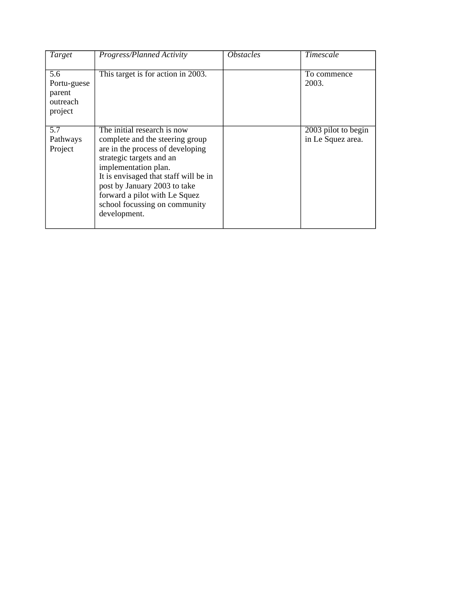| Target                                              | Progress/Planned Activity                                                                                                                                                                                                                                                                                         | <i>Obstacles</i> | Timescale                                |
|-----------------------------------------------------|-------------------------------------------------------------------------------------------------------------------------------------------------------------------------------------------------------------------------------------------------------------------------------------------------------------------|------------------|------------------------------------------|
| 5.6<br>Portu-guese<br>parent<br>outreach<br>project | This target is for action in 2003.                                                                                                                                                                                                                                                                                |                  | To commence<br>2003.                     |
| 5.7<br>Pathways<br>Project                          | The initial research is now<br>complete and the steering group<br>are in the process of developing<br>strategic targets and an<br>implementation plan.<br>It is envisaged that staff will be in<br>post by January 2003 to take<br>forward a pilot with Le Squez<br>school focussing on community<br>development. |                  | 2003 pilot to begin<br>in Le Squez area. |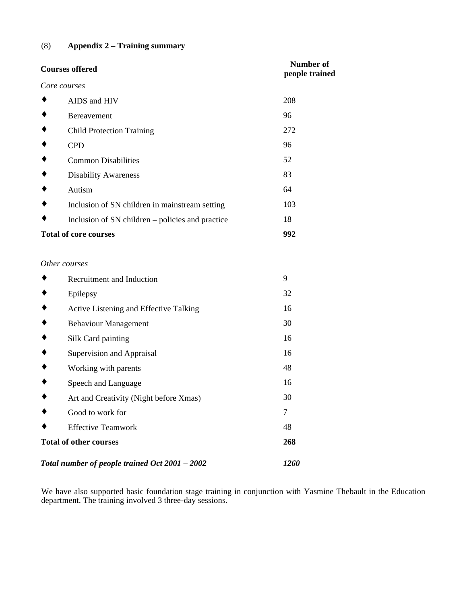#### (8) **Appendix 2 – Training summary**

| <b>Courses offered</b> |                                                  | <b>Number of</b><br>people trained |  |
|------------------------|--------------------------------------------------|------------------------------------|--|
|                        | Core courses                                     |                                    |  |
|                        | AIDS and HIV                                     | 208                                |  |
|                        | Bereavement                                      | 96                                 |  |
|                        | <b>Child Protection Training</b>                 | 272                                |  |
|                        | <b>CPD</b>                                       | 96                                 |  |
|                        | <b>Common Disabilities</b>                       | 52                                 |  |
|                        | <b>Disability Awareness</b>                      | 83                                 |  |
|                        | Autism                                           | 64                                 |  |
|                        | Inclusion of SN children in mainstream setting   | 103                                |  |
|                        | Inclusion of SN children – policies and practice | 18                                 |  |
|                        | <b>Total of core courses</b>                     | 992                                |  |
|                        |                                                  |                                    |  |
|                        | Other courses                                    |                                    |  |
|                        | Recruitment and Induction                        | 9                                  |  |
|                        | Epilepsy                                         | 32                                 |  |
|                        | Active Listening and Effective Talking           | 16                                 |  |
|                        | <b>Behaviour Management</b>                      | 30                                 |  |
|                        | Silk Card painting                               | 16                                 |  |
|                        | Supervision and Appraisal                        | 16                                 |  |
|                        | Working with parents                             | 48                                 |  |
|                        | Speech and Language                              | 16                                 |  |
|                        | Art and Creativity (Night before Xmas)           | 30                                 |  |
|                        | Good to work for                                 | 7                                  |  |
|                        | <b>Effective Teamwork</b>                        | 48                                 |  |
|                        | <b>Total of other courses</b>                    | 268                                |  |
|                        | Total number of people trained Oct 2001 - 2002   | 1260                               |  |

We have also supported basic foundation stage training in conjunction with Yasmine Thebault in the Education department. The training involved 3 three-day sessions.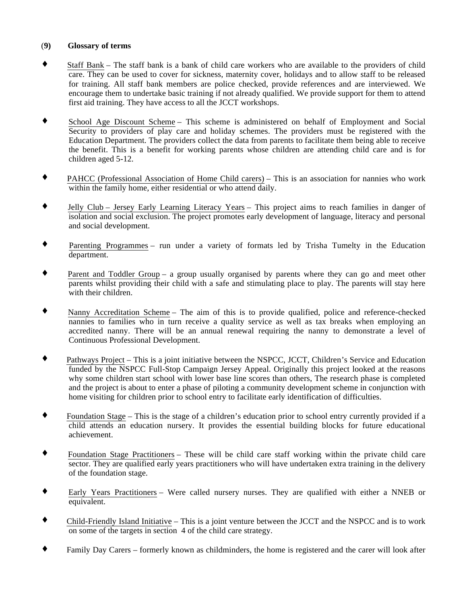#### (**9) Glossary of terms**

- ♦ Staff Bank The staff bank is a bank of child care workers who are available to the providers of child care. They can be used to cover for sickness, maternity cover, holidays and to allow staff to be released for training. All staff bank members are police checked, provide references and are interviewed. We encourage them to undertake basic training if not already qualified. We provide support for them to attend first aid training. They have access to all the JCCT workshops.
- ♦ School Age Discount Scheme This scheme is administered on behalf of Employment and Social Security to providers of play care and holiday schemes. The providers must be registered with the Education Department. The providers collect the data from parents to facilitate them being able to receive the benefit. This is a benefit for working parents whose children are attending child care and is for children aged 5-12.
- ♦ PAHCC (Professional Association of Home Child carers) This is an association for nannies who work within the family home, either residential or who attend daily.
- Jelly Club Jersey Early Learning Literacy Years This project aims to reach families in danger of isolation and social exclusion. The project promotes early development of language, literacy and personal and social development.
- Parenting Programmes run under a variety of formats led by Trisha Tumelty in the Education department.
- ♦ Parent and Toddler Group a group usually organised by parents where they can go and meet other parents whilst providing their child with a safe and stimulating place to play. The parents will stay here with their children.
- Nanny Accreditation Scheme The aim of this is to provide qualified, police and reference-checked nannies to families who in turn receive a quality service as well as tax breaks when employing an accredited nanny. There will be an annual renewal requiring the nanny to demonstrate a level of Continuous Professional Development.
- Pathways Project This is a joint initiative between the NSPCC, JCCT, Children's Service and Education funded by the NSPCC Full-Stop Campaign Jersey Appeal. Originally this project looked at the reasons why some children start school with lower base line scores than others, The research phase is completed and the project is about to enter a phase of piloting a community development scheme in conjunction with home visiting for children prior to school entry to facilitate early identification of difficulties.
- ♦ Foundation Stage This is the stage of a children's education prior to school entry currently provided if a child attends an education nursery. It provides the essential building blocks for future educational achievement.
- ♦ Foundation Stage Practitioners These will be child care staff working within the private child care sector. They are qualified early years practitioners who will have undertaken extra training in the delivery of the foundation stage.
- ♦ Early Years Practitioners Were called nursery nurses. They are qualified with either a NNEB or equivalent.
- ♦ Child-Friendly Island Initiative This is a joint venture between the JCCT and the NSPCC and is to work on some of the targets in section 4 of the child care strategy.
- Family Day Carers formerly known as childminders, the home is registered and the carer will look after